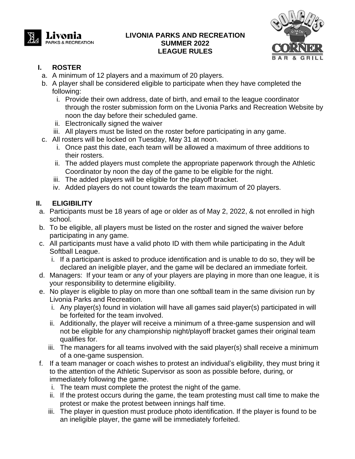

#### **LIVONIA PARKS AND RECREATION SUMMER 2022 LEAGUE RULES**



### **I. ROSTER**

- a. A minimum of 12 players and a maximum of 20 players.
- b. A player shall be considered eligible to participate when they have completed the following:
	- i. Provide their own address, date of birth, and email to the league coordinator through the roster submission form on the Livonia Parks and Recreation Website by noon the day before their scheduled game.
	- ii. Electronically signed the waiver
	- iii. All players must be listed on the roster before participating in any game.
- c. All rosters will be locked on Tuesday, May 31 at noon.
	- i. Once past this date, each team will be allowed a maximum of three additions to their rosters.
	- ii. The added players must complete the appropriate paperwork through the Athletic Coordinator by noon the day of the game to be eligible for the night.
	- iii. The added players will be eligible for the playoff bracket.
	- iv. Added players do not count towards the team maximum of 20 players.

### **II. ELIGIBILITY**

- a. Participants must be 18 years of age or older as of May 2, 2022, & not enrolled in high school.
- b. To be eligible, all players must be listed on the roster and signed the waiver before participating in any game.
- c. All participants must have a valid photo ID with them while participating in the Adult Softball League.
	- i. If a participant is asked to produce identification and is unable to do so, they will be declared an ineligible player, and the game will be declared an immediate forfeit.
- d. Managers: If your team or any of your players are playing in more than one league, it is your responsibility to determine eligibility.
- e. No player is eligible to play on more than one softball team in the same division run by Livonia Parks and Recreation.
	- i. Any player(s) found in violation will have all games said player(s) participated in will be forfeited for the team involved.
	- ii. Additionally, the player will receive a minimum of a three-game suspension and will not be eligible for any championship night/playoff bracket games their original team qualifies for.
	- iii. The managers for all teams involved with the said player(s) shall receive a minimum of a one-game suspension.
- f. If a team manager or coach wishes to protest an individual's eligibility, they must bring it to the attention of the Athletic Supervisor as soon as possible before, during, or immediately following the game.
	- i. The team must complete the protest the night of the game.
	- ii. If the protest occurs during the game, the team protesting must call time to make the protest or make the protest between innings half time.
	- iii. The player in question must produce photo identification. If the player is found to be an ineligible player, the game will be immediately forfeited.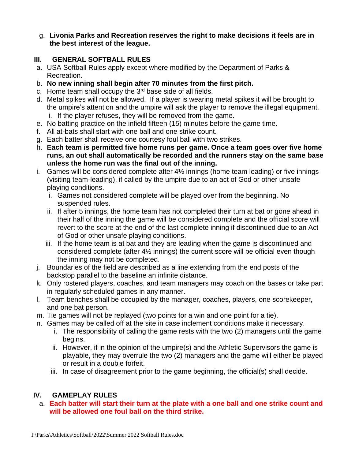g. **Livonia Parks and Recreation reserves the right to make decisions it feels are in the best interest of the league.**

### **III. GENERAL SOFTBALL RULES**

- a. USA Softball Rules apply except where modified by the Department of Parks & Recreation.
- b. **No new inning shall begin after 70 minutes from the first pitch.**
- c. Home team shall occupy the  $3<sup>rd</sup>$  base side of all fields.
- d. Metal spikes will not be allowed. If a player is wearing metal spikes it will be brought to the umpire's attention and the umpire will ask the player to remove the illegal equipment. i. If the player refuses, they will be removed from the game.
- e. No batting practice on the infield fifteen (15) minutes before the game time.
- f. All at-bats shall start with one ball and one strike count.
- g. Each batter shall receive one courtesy foul ball with two strikes.
- h. **Each team is permitted five home runs per game. Once a team goes over five home runs, an out shall automatically be recorded and the runners stay on the same base unless the home run was the final out of the inning.**
- i. Games will be considered complete after 4½ innings (home team leading) or five innings (visiting team-leading), if called by the umpire due to an act of God or other unsafe playing conditions.
	- i. Games not considered complete will be played over from the beginning. No suspended rules.
	- ii. If after 5 innings, the home team has not completed their turn at bat or gone ahead in their half of the inning the game will be considered complete and the official score will revert to the score at the end of the last complete inning if discontinued due to an Act of God or other unsafe playing conditions.
	- iii. If the home team is at bat and they are leading when the game is discontinued and considered complete (after 4½ innings) the current score will be official even though the inning may not be completed.
- j. Boundaries of the field are described as a line extending from the end posts of the backstop parallel to the baseline an infinite distance.
- k. Only rostered players, coaches, and team managers may coach on the bases or take part in regularly scheduled games in any manner.
- l. Team benches shall be occupied by the manager, coaches, players, one scorekeeper, and one bat person.
- m. Tie games will not be replayed (two points for a win and one point for a tie).
- n. Games may be called off at the site in case inclement conditions make it necessary.
	- i. The responsibility of calling the game rests with the two (2) managers until the game begins.
	- ii. However, if in the opinion of the umpire(s) and the Athletic Supervisors the game is playable, they may overrule the two (2) managers and the game will either be played or result in a double forfeit.
	- iii. In case of disagreement prior to the game beginning, the official(s) shall decide.

# **IV. GAMEPLAY RULES**

#### a. **Each batter will start their turn at the plate with a one ball and one strike count and will be allowed one foul ball on the third strike.**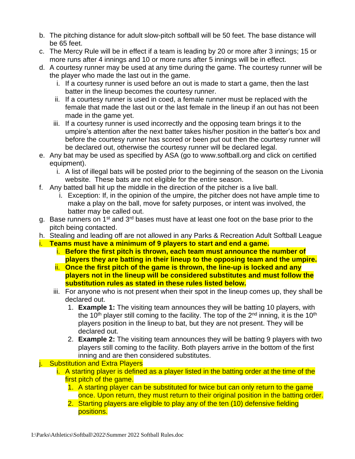- b. The pitching distance for adult slow-pitch softball will be 50 feet. The base distance will be 65 feet.
- c. The Mercy Rule will be in effect if a team is leading by 20 or more after 3 innings; 15 or more runs after 4 innings and 10 or more runs after 5 innings will be in effect.
- d. A courtesy runner may be used at any time during the game. The courtesy runner will be the player who made the last out in the game.
	- i. If a courtesy runner is used before an out is made to start a game, then the last batter in the lineup becomes the courtesy runner.
	- ii. If a courtesy runner is used in coed, a female runner must be replaced with the female that made the last out or the last female in the lineup if an out has not been made in the game yet.
	- iii. If a courtesy runner is used incorrectly and the opposing team brings it to the umpire's attention after the next batter takes his/her position in the batter's box and before the courtesy runner has scored or been put out then the courtesy runner will be declared out, otherwise the courtesy runner will be declared legal.
- e. Any bat may be used as specified by ASA (go to [www.softball.org](http://www.softball.org/) and click on certified equipment).
	- i. A list of illegal bats will be posted prior to the beginning of the season on the Livonia website. These bats are not eligible for the entire season.
- f. Any batted ball hit up the middle in the direction of the pitcher is a live ball.
	- i. Exception: If, in the opinion of the umpire, the pitcher does not have ample time to make a play on the ball, move for safety purposes, or intent was involved, the batter may be called out.
- g. Base runners on 1<sup>st</sup> and 3<sup>rd</sup> bases must have at least one foot on the base prior to the pitch being contacted.
- h. Stealing and leading off are not allowed in any Parks & Recreation Adult Softball League
- i. **Teams must have a minimum of 9 players to start and end a game.**
	- i. **Before the first pitch is thrown, each team must announce the number of players they are batting in their lineup to the opposing team and the umpire.**
	- ii. **Once the first pitch of the game is thrown, the line-up is locked and any players not in the lineup will be considered substitutes and must follow the substitution rules as stated in these rules listed below.**
	- iii. For anyone who is not present when their spot in the lineup comes up, they shall be declared out.
		- 1. **Example 1:** The visiting team announces they will be batting 10 players, with the 10<sup>th</sup> player still coming to the facility. The top of the 2<sup>nd</sup> inning, it is the 10<sup>th</sup> players position in the lineup to bat, but they are not present. They will be declared out.
		- 2. **Example 2:** The visiting team announces they will be batting 9 players with two players still coming to the facility. Both players arrive in the bottom of the first inning and are then considered substitutes.
- **j.** Substitution and Extra Players
	- i. A starting player is defined as a player listed in the batting order at the time of the first pitch of the game.
		- 1. A starting player can be substituted for twice but can only return to the game once. Upon return, they must return to their original position in the batting order.
		- 2. Starting players are eligible to play any of the ten (10) defensive fielding positions.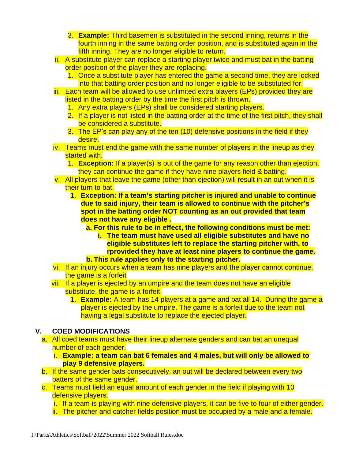- 3. **Example:** Third basemen is substituted in the second inning, returns in the fourth inning in the same batting order position, and is substituted again in the fifth inning. They are no longer eligible to return.
- ii. A substitute player can replace a starting player twice and must bat in the batting order position of the player they are replacing.
	- 1. Once a substitute player has entered the game a second time, they are locked into that batting order position and no longer eligible to be substituted for.
- iii. Each team will be allowed to use unlimited extra players (EPs) provided they are listed in the batting order by the time the first pitch is thrown.
	- 1. Any extra players (EPs) shall be considered starting players.
	- 2. If a player is not listed in the batting order at the time of the first pitch, they shall be considered a substitute.
	- 3. The EP's can play any of the ten (10) defensive positions in the field if they desire.
- iv. Teams must end the game with the same number of players in the lineup as they started with.
	- 1. **Exception:** If a player(s) is out of the game for any reason other than ejection, they can continue the game if they have nine players field & batting.
- v. All players that leave the game (other than ejection) will result in an out when it is their turn to bat.
	- 1. **Exception: If a team's starting pitcher is injured and unable to continue due to said injury, their team is allowed to continue with the pitcher's spot in the batting order NOT counting as an out provided that team does not have any eligible .** 
		- **a. For this rule to be in effect, the following conditions must be met:**
		- **i. The team must have used all eligible substitutes and have no eligible substitutes left to replace the starting pitcher with. to rprovided they have at least nine players to continue the game. b. This rule applies only to the starting pitcher.**
- vi. If an injury occurs when a team has nine players and the player cannot continue, the game is a forfeit
- vii. If a player is ejected by an umpire and the team does not have an eligible substitute, the game is a forfeit.
	- 1. **Example:** A team has 14 players at a game and bat all 14. During the game a player is ejected by the umpire. The game is a forfeit due to the team not having a legal substitute to replace the ejected player.

#### **V. COED MODIFICATIONS**

- a. All coed teams must have their lineup alternate genders and can bat an unequal number of each gender.
	- i. **Example: a team can bat 6 females and 4 males, but will only be allowed to play 9 defensive players.**
- b. If the same gender bats consecutively, an out will be declared between every two batters of the same gender.
- c. Teams must field an equal amount of each gender in the field if playing with 10 defensive players.
	- i. If a team is playing with nine defensive players, it can be five to four of either gender.
	- ii. The pitcher and catcher fields position must be occupied by a male and a female.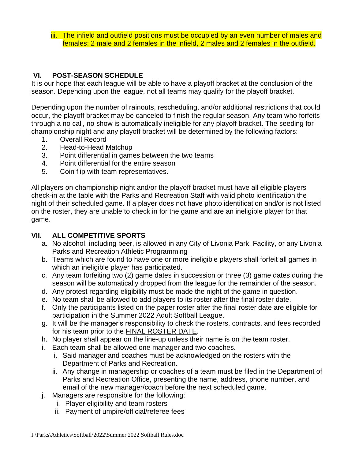iii. The infield and outfield positions must be occupied by an even number of males and females: 2 male and 2 females in the infield, 2 males and 2 females in the outfield.

#### **VI. POST-SEASON SCHEDULE**

It is our hope that each league will be able to have a playoff bracket at the conclusion of the season. Depending upon the league, not all teams may qualify for the playoff bracket.

Depending upon the number of rainouts, rescheduling, and/or additional restrictions that could occur, the playoff bracket may be canceled to finish the regular season. Any team who forfeits through a no call, no show is automatically ineligible for any playoff bracket. The seeding for championship night and any playoff bracket will be determined by the following factors:

- 1. Overall Record
- 2. Head-to-Head Matchup
- 3. Point differential in games between the two teams
- 4. Point differential for the entire season
- 5. Coin flip with team representatives.

All players on championship night and/or the playoff bracket must have all eligible players check-in at the table with the Parks and Recreation Staff with valid photo identification the night of their scheduled game. If a player does not have photo identification and/or is not listed on the roster, they are unable to check in for the game and are an ineligible player for that game.

#### **VII. ALL COMPETITIVE SPORTS**

- a. No alcohol, including beer, is allowed in any City of Livonia Park, Facility, or any Livonia Parks and Recreation Athletic Programming
- b. Teams which are found to have one or more ineligible players shall forfeit all games in which an ineligible player has participated.
- c. Any team forfeiting two (2) game dates in succession or three (3) game dates during the season will be automatically dropped from the league for the remainder of the season.
- d. Any protest regarding eligibility must be made the night of the game in question.
- e. No team shall be allowed to add players to its roster after the final roster date.
- f. Only the participants listed on the paper roster after the final roster date are eligible for participation in the Summer 2022 Adult Softball League.
- g. It will be the manager's responsibility to check the rosters, contracts, and fees recorded for his team prior to the FINAL ROSTER DATE.
- h. No player shall appear on the line-up unless their name is on the team roster.
- i. Each team shall be allowed one manager and two coaches.
	- i. Said manager and coaches must be acknowledged on the rosters with the Department of Parks and Recreation.
	- ii. Any change in managership or coaches of a team must be filed in the Department of Parks and Recreation Office, presenting the name, address, phone number, and email of the new manager/coach before the next scheduled game.
- j. Managers are responsible for the following:
	- i. Player eligibility and team rosters
	- ii. Payment of umpire/official/referee fees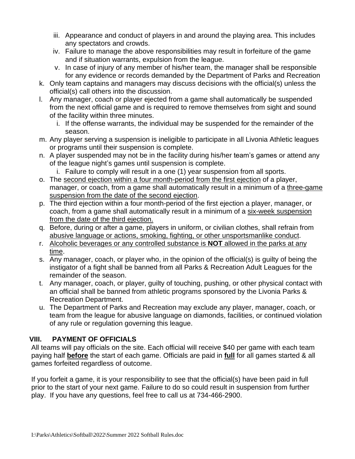- iii. Appearance and conduct of players in and around the playing area. This includes any spectators and crowds.
- iv. Failure to manage the above responsibilities may result in forfeiture of the game and if situation warrants, expulsion from the league.
- v. In case of injury of any member of his/her team, the manager shall be responsible for any evidence or records demanded by the Department of Parks and Recreation
- k. Only team captains and managers may discuss decisions with the official(s) unless the official(s) call others into the discussion.
- l. Any manager, coach or player ejected from a game shall automatically be suspended from the next official game and is required to remove themselves from sight and sound of the facility within three minutes.
	- i. If the offense warrants, the individual may be suspended for the remainder of the season.
- m. Any player serving a suspension is ineligible to participate in all Livonia Athletic leagues or programs until their suspension is complete.
- n. A player suspended may not be in the facility during his/her team's games or attend any of the league night's games until suspension is complete.
	- i. Failure to comply will result in a one (1) year suspension from all sports.
- o. The second ejection within a four month-period from the first ejection of a player, manager, or coach, from a game shall automatically result in a minimum of a three-game suspension from the date of the second ejection.
- p. The third ejection within a four month-period of the first ejection a player, manager, or coach, from a game shall automatically result in a minimum of a six-week suspension from the date of the third ejection.
- q. Before, during or after a game, players in uniform, or civilian clothes, shall refrain from abusive language or actions, smoking, fighting, or other unsportsmanlike conduct.
- r. Alcoholic beverages or any controlled substance is **NOT** allowed in the parks at any time.
- s. Any manager, coach, or player who, in the opinion of the official(s) is guilty of being the instigator of a fight shall be banned from all Parks & Recreation Adult Leagues for the remainder of the season.
- t. Any manager, coach, or player, guilty of touching, pushing, or other physical contact with an official shall be banned from athletic programs sponsored by the Livonia Parks & Recreation Department.
- u. The Department of Parks and Recreation may exclude any player, manager, coach, or team from the league for abusive language on diamonds, facilities, or continued violation of any rule or regulation governing this league.

# **VIII. PAYMENT OF OFFICIALS**

All teams will pay officials on the site. Each official will receive \$40 per game with each team paying half **before** the start of each game. Officials are paid in **full** for all games started & all games forfeited regardless of outcome.

If you forfeit a game, it is your responsibility to see that the official(s) have been paid in full prior to the start of your next game. Failure to do so could result in suspension from further play. If you have any questions, feel free to call us at 734-466-2900.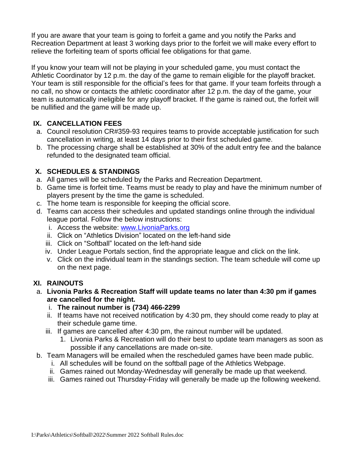If you are aware that your team is going to forfeit a game and you notify the Parks and Recreation Department at least 3 working days prior to the forfeit we will make every effort to relieve the forfeiting team of sports official fee obligations for that game.

If you know your team will not be playing in your scheduled game, you must contact the Athletic Coordinator by 12 p.m. the day of the game to remain eligible for the playoff bracket. Your team is still responsible for the official's fees for that game. If your team forfeits through a no call, no show or contacts the athletic coordinator after 12 p.m. the day of the game, your team is automatically ineligible for any playoff bracket. If the game is rained out, the forfeit will be nullified and the game will be made up.

### **IX. CANCELLATION FEES**

- a. Council resolution CR#359-93 requires teams to provide acceptable justification for such cancellation in writing, at least 14 days prior to their first scheduled game.
- b. The processing charge shall be established at 30% of the adult entry fee and the balance refunded to the designated team official.

### **X. SCHEDULES & STANDINGS**

- a. All games will be scheduled by the Parks and Recreation Department.
- b. Game time is forfeit time. Teams must be ready to play and have the minimum number of players present by the time the game is scheduled.
- c. The home team is responsible for keeping the official score.
- d. Teams can access their schedules and updated standings online through the individual league portal. Follow the below instructions:
	- i. Access the website: [www.LivoniaParks.org](http://www.livoniaparks.org/)
	- ii. Click on "Athletics Division" located on the left-hand side
	- iii. Click on "Softball" located on the left-hand side
	- iv. Under League Portals section, find the appropriate league and click on the link.
	- v. Click on the individual team in the standings section. The team schedule will come up on the next page.

# **XI. RAINOUTS**

- a. **Livonia Parks & Recreation Staff will update teams no later than 4:30 pm if games are cancelled for the night.** 
	- i. **The rainout number is (734) 466-2299**
	- ii. If teams have not received notification by 4:30 pm, they should come ready to play at their schedule game time.
	- iii. If games are cancelled after 4:30 pm, the rainout number will be updated.
		- 1. Livonia Parks & Recreation will do their best to update team managers as soon as possible if any cancellations are made on-site.
- b. Team Managers will be emailed when the rescheduled games have been made public.
	- i. All schedules will be found on the softball page of the Athletics Webpage.
	- ii. Games rained out Monday-Wednesday will generally be made up that weekend.
	- iii. Games rained out Thursday-Friday will generally be made up the following weekend.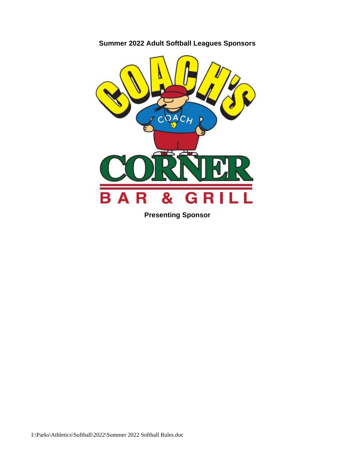

**Summer 2022 Adult Softball Leagues Sponsors**

**Presenting Sponsor**